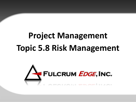# **Project Management Topic 5.8 Risk Management**

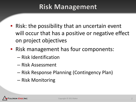#### **Risk Management**

- Risk: the possibility that an uncertain event will occur that has a positive or negative effect on project objectives
- Risk management has four components:
	- Risk Identification
	- Risk Assessment
	- Risk Response Planning (Contingency Plan)
	- Risk Monitoring

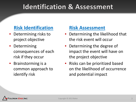#### **Identification & Assessment**

#### **Risk Identification Risk Assessment**

- Determining risks to project objective
- Determining consequences of each risk if they occur
- Brainstorming is a common approach to identify risk

- Determining the likelihood that the risk event will occur
- Determining the degree of impact the event will have on the project objective
- Risks can be prioritized based on the likelihood of occurrence and potential impact

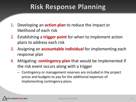## **Risk Response Planning**

- 1. Developing an **action plan** to reduce the impact or likelihood of each risk
- 2. Establishing a **trigger point** for when to implement action plans to address each risk
- 3. Assigning an **accountable individual** for implementing each response plan
- 4. Mitigating: **contingency plan** that would be implemented if the risk event occurs along with a trigger
	- Contingency or management reserves are included in the project prices and budgets to pay for the additional expenses of implementing contingency plans.

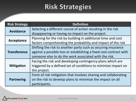## **Risk Strategies**

| <b>Risk Strategy</b> | <b>Definition</b>                                                  |
|----------------------|--------------------------------------------------------------------|
| <b>Avoidance</b>     | Selecting a different course of action resulting in the risk       |
|                      | disappearing or having no impact on the project.                   |
| <b>Acceptance</b>    | Planning for the risk by building in additional time and cost      |
|                      | factors comprehending the probability and impact of the risk       |
| <b>Transference</b>  | Shifting the risk to another party such as securing insurance      |
|                      | against a possible loss or establishing a fixed cost contract with |
|                      | someone else to do the work associated with the risk.              |
| <b>Mitigation</b>    | Facing the risk and developing contingency plans which are         |
|                      | triggered by a defined set of conditions to minimize impact on     |
|                      | the project.                                                       |
| <b>Partnering</b>    | Form of risk mitigation that involves sharing and collaborating    |
|                      | on the risk to develop plans to minimize the impact on all         |
|                      | participants.                                                      |

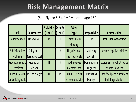## **Risk Management Matrix**

#### (See Figure 5.6 of MPM text, page 162)

|                         |                 | Probability | <b>Severity</b> | <b>Action</b>         |                       |                               |
|-------------------------|-----------------|-------------|-----------------|-----------------------|-----------------------|-------------------------------|
| <b>Risk</b>             | Consequence     | (L, M, H)   | (L, M, H)       | <b>Trigger</b>        | <b>Responsibility</b> | <b>Response Plan</b>          |
| Permit delayed          | Delay constr.   | M           | H               | Permit status         | PM                    | Reduce renovation time        |
|                         |                 |             |                 | slipping              |                       |                               |
| <b>Public Relations</b> | Delay constr    |             | H               | <b>Negative local</b> | <b>Marketing</b>      | Address negative opinions     |
| Problems                | & site approval |             |                 | news/editorials       | Specialist            |                               |
| Production equip        | Production      | H           | H               | Machine does          | Manufacturing         | Equipment run-off at source   |
| Problems                | delays          |             |                 | not meet spec         | Engineer              | prior to shipment             |
| Price increases         | Exceed budget   | H           | M               | 10% incr. in bldg     | Purchasing            | Early fixed price purchase of |
| on building matls       |                 |             |                 | economic activity     | Manager               | buildling materials           |

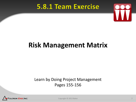#### 5.8.1 Team Exercise



## **Risk Management Matrix**

#### Learn by Doing Project Management Pages 155-156



Copyright © 2013 Baker